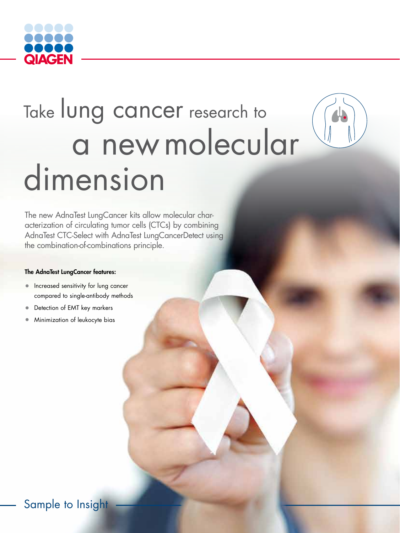

# Take lung cancer research to a newmolecular dimension



#### The AdnaTest LungCancer features:

- Increased sensitivity for lung cancer compared to single-antibody methods
- Detection of EMT key markers
- Minimization of leukocyte bias